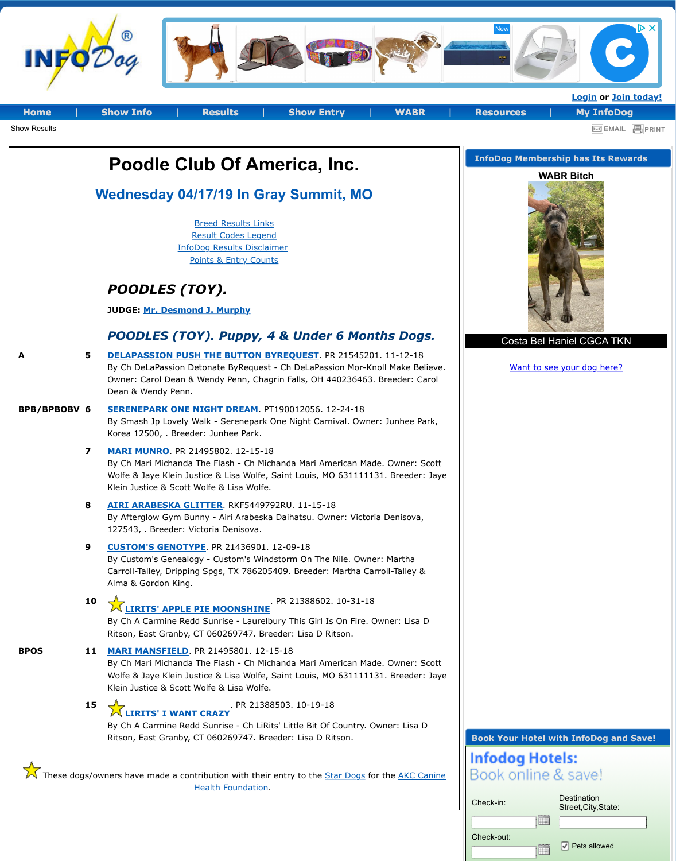| A                                                                                        | 5                       | <b>DELAPASSION PUSH THE BUTTON BYREQUEST. PR 21545201. 11-12-</b><br>By Ch DeLaPassion Detonate ByRequest - Ch DeLaPassion Mor-Knoll Make<br>Owner: Carol Dean & Wendy Penn, Chagrin Falls, OH 440236463. Breeder:<br>Dean & Wendy Penn.        |
|------------------------------------------------------------------------------------------|-------------------------|-------------------------------------------------------------------------------------------------------------------------------------------------------------------------------------------------------------------------------------------------|
| <b>BPB/BPBOBV 6</b>                                                                      |                         | <b>SERENEPARK ONE NIGHT DREAM. PT190012056. 12-24-18</b><br>By Smash Jp Lovely Walk - Serenepark One Night Carnival. Owner: Junhee<br>Korea 12500, . Breeder: Junhee Park.                                                                      |
|                                                                                          | $\overline{\mathbf{z}}$ | <b>MARI MUNRO. PR 21495802. 12-15-18</b><br>By Ch Mari Michanda The Flash - Ch Michanda Mari American Made. Owner<br>Wolfe & Jaye Klein Justice & Lisa Wolfe, Saint Louis, MO 631111131. Breed<br>Klein Justice & Scott Wolfe & Lisa Wolfe.     |
|                                                                                          | 8                       | AIRI ARABESKA GLITTER. RKF5449792RU. 11-15-18<br>By Afterglow Gym Bunny - Airi Arabeska Daihatsu. Owner: Victoria Denisov<br>127543, . Breeder: Victoria Denisova.                                                                              |
|                                                                                          | 9                       | <b>CUSTOM'S GENOTYPE</b> PR 21436901. 12-09-18<br>By Custom's Genealogy - Custom's Windstorm On The Nile. Owner: Martha<br>Carroll-Talley, Dripping Spgs, TX 786205409. Breeder: Martha Carroll-Talley<br>Alma & Gordon King.                   |
|                                                                                          | 10                      | . PR 21388602. 10-31-18<br><b>IRITS' APPLE PIE MOONSHINE</b><br>By Ch A Carmine Redd Sunrise - Laurelbury This Girl Is On Fire. Owner: Lis<br>Ritson, East Granby, CT 060269747. Breeder: Lisa D Ritson.                                        |
| <b>BPOS</b>                                                                              | 11                      | <b>MARI MANSFIELD. PR 21495801. 12-15-18</b><br>By Ch Mari Michanda The Flash - Ch Michanda Mari American Made. Owner<br>Wolfe & Jaye Klein Justice & Lisa Wolfe, Saint Louis, MO 631111131. Breed<br>Klein Justice & Scott Wolfe & Lisa Wolfe. |
|                                                                                          | 15                      | . PR 21388503. 10-19-18<br><b>IRITS' I WANT CRAZY</b><br>By Ch A Carmine Redd Sunrise - Ch LiRits' Little Bit Of Country. Owner: Lis<br>Ritson, East Granby, CT 060269747. Breeder: Lisa D Ritson.                                              |
| These dogs/owners have made a contribution with their entry to the Star Dogs for the AKC |                         |                                                                                                                                                                                                                                                 |

**Health Foundation.**